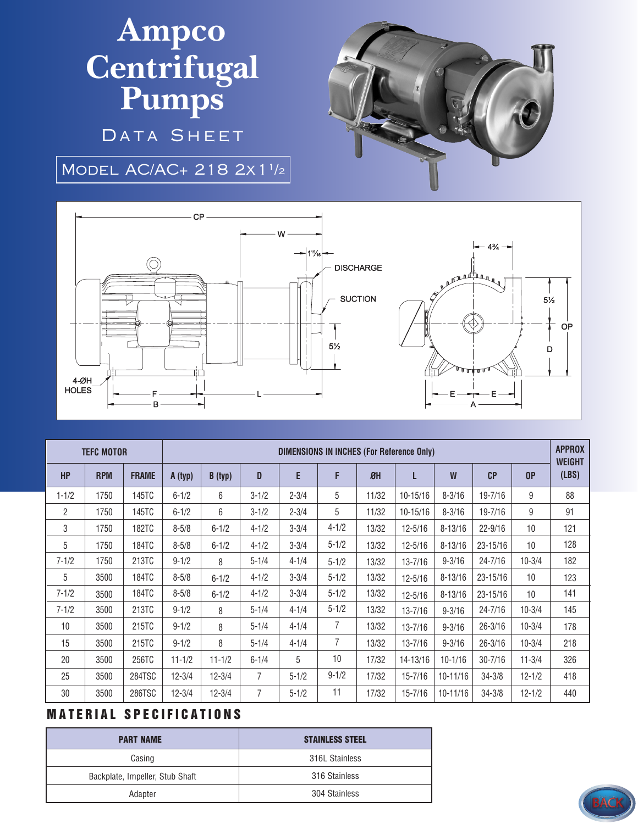## **Ampco Centrifugal Pumps**

DATA SHEET

Model AC/AC+ 218 2x11/2



| <b>TEFC MOTOR</b> |            |              | <b>DIMENSIONS IN INCHES (For Reference Only)</b> |            |                |           |                |       |              |              |              |                 | <b>APPROX</b><br><b>WEIGHT</b> |
|-------------------|------------|--------------|--------------------------------------------------|------------|----------------|-----------|----------------|-------|--------------|--------------|--------------|-----------------|--------------------------------|
| <b>HP</b>         | <b>RPM</b> | <b>FRAME</b> | A (typ)                                          | B (typ)    | D              | E         | F              | $B$ H | L            | W            | CP           | 0P              | (LBS)                          |
| $1 - 1/2$         | 1750       | 145TC        | $6 - 1/2$                                        | 6          | $3 - 1/2$      | $2 - 3/4$ | 5              | 11/32 | $10 - 15/16$ | $8 - 3/16$   | 19-7/16      | 9               | 88                             |
| 2                 | 1750       | 145TC        | $6 - 1/2$                                        | 6          | $3 - 1/2$      | $2 - 3/4$ | 5              | 11/32 | $10 - 15/16$ | $8 - 3/16$   | 19-7/16      | 9               | 91                             |
| 3                 | 1750       | <b>182TC</b> | $8 - 5/8$                                        | $6 - 1/2$  | $4 - 1/2$      | $3 - 3/4$ | $4 - 1/2$      | 13/32 | $12 - 5/16$  | $8 - 13/16$  | $22 - 9/16$  | 10 <sup>1</sup> | 121                            |
| 5                 | 1750       | 184TC        | $8 - 5/8$                                        | $6 - 1/2$  | $4 - 1/2$      | $3 - 3/4$ | $5 - 1/2$      | 13/32 | $12 - 5/16$  | $8 - 13/16$  | $23 - 15/16$ | 10              | 128                            |
| $7 - 1/2$         | 1750       | 213TC        | $9 - 1/2$                                        | 8          | $5 - 1/4$      | $4 - 1/4$ | $5 - 1/2$      | 13/32 | $13 - 7/16$  | $9 - 3/16$   | $24 - 7/16$  | $10 - 3/4$      | 182                            |
| 5                 | 3500       | 184TC        | $8 - 5/8$                                        | $6 - 1/2$  | $4 - 1/2$      | $3 - 3/4$ | $5 - 1/2$      | 13/32 | $12 - 5/16$  | $8 - 13/16$  | 23-15/16     | 10              | 123                            |
| $7 - 1/2$         | 3500       | <b>184TC</b> | $8 - 5/8$                                        | $6 - 1/2$  | $4 - 1/2$      | $3 - 3/4$ | $5 - 1/2$      | 13/32 | $12 - 5/16$  | $8 - 13/16$  | $23 - 15/16$ | 10              | 141                            |
| $7 - 1/2$         | 3500       | 213TC        | $9 - 1/2$                                        | 8          | $5 - 1/4$      | $4 - 1/4$ | $5 - 1/2$      | 13/32 | $13 - 7/16$  | $9 - 3/16$   | $24 - 7/16$  | $10 - 3/4$      | 145                            |
| 10                | 3500       | 215TC        | $9 - 1/2$                                        | 8          | $5 - 1/4$      | $4 - 1/4$ | 7              | 13/32 | $13 - 7/16$  | $9 - 3/16$   | $26 - 3/16$  | $10 - 3/4$      | 178                            |
| 15                | 3500       | 215TC        | $9 - 1/2$                                        | 8          | $5 - 1/4$      | $4 - 1/4$ | $\overline{7}$ | 13/32 | $13 - 7/16$  | $9 - 3/16$   | $26 - 3/16$  | $10 - 3/4$      | 218                            |
| 20                | 3500       | 256TC        | $11 - 1/2$                                       | $11 - 1/2$ | $6 - 1/4$      | 5         | 10             | 17/32 | 14-13/16     | $10 - 1/16$  | $30 - 7/16$  | $11 - 3/4$      | 326                            |
| 25                | 3500       | 284TSC       | $12 - 3/4$                                       | $12 - 3/4$ | $\overline{7}$ | $5 - 1/2$ | $9 - 1/2$      | 17/32 | $15 - 7/16$  | $10 - 11/16$ | $34 - 3/8$   | $12 - 1/2$      | 418                            |
| 30                | 3500       | 286TSC       | $12 - 3/4$                                       | $12 - 3/4$ | $\overline{7}$ | $5 - 1/2$ | 11             | 17/32 | $15 - 7/16$  | $10 - 11/16$ | $34 - 3/8$   | $12 - 1/2$      | 440                            |

## **MATERIAL SPECIFICATIONS**

| <b>PART NAME</b>                | <b>STAINLESS STEEL</b> |  |  |  |  |
|---------------------------------|------------------------|--|--|--|--|
| Casing                          | 316L Stainless         |  |  |  |  |
| Backplate, Impeller, Stub Shaft | 316 Stainless          |  |  |  |  |
| Adapter                         | 304 Stainless          |  |  |  |  |